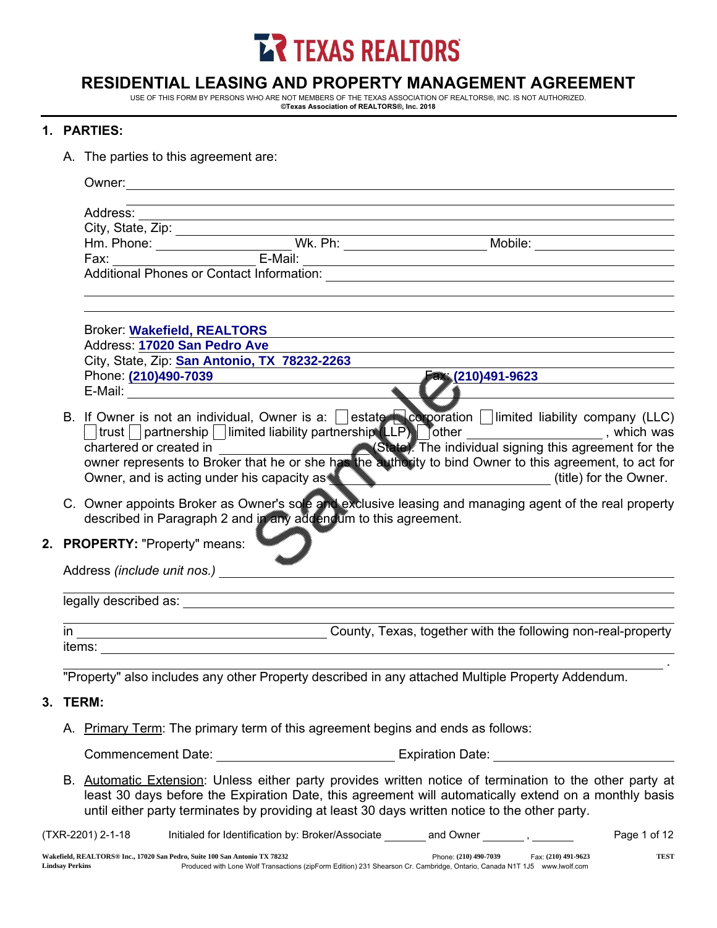# **LR TEXAS REALTORS**

# RESIDENTIAL LEASING AND PROPERTY MANAGEMENT AGREEMENT

USE OF THIS FORM BY PERSONS WHO ARE NOT MEMBERS OF THE TEXAS ASSOCIATION OF REALTORS®, INC. IS NOT AUTHORIZED. ©Texas Association of REALTORS®, Inc. 2018

#### 1. PARTIES:

A. The parties to this agreement are:

|                                                                                 | Address:                                     |                                                                 |                                                                                                                                                                                                                          |  |  |  |
|---------------------------------------------------------------------------------|----------------------------------------------|-----------------------------------------------------------------|--------------------------------------------------------------------------------------------------------------------------------------------------------------------------------------------------------------------------|--|--|--|
|                                                                                 |                                              |                                                                 |                                                                                                                                                                                                                          |  |  |  |
|                                                                                 |                                              |                                                                 |                                                                                                                                                                                                                          |  |  |  |
|                                                                                 |                                              |                                                                 |                                                                                                                                                                                                                          |  |  |  |
|                                                                                 |                                              |                                                                 |                                                                                                                                                                                                                          |  |  |  |
|                                                                                 | <b>Broker: Wakefield, REALTORS</b>           |                                                                 |                                                                                                                                                                                                                          |  |  |  |
|                                                                                 | Address: 17020 San Pedro Ave                 |                                                                 |                                                                                                                                                                                                                          |  |  |  |
|                                                                                 | City, State, Zip: San Antonio, TX 78232-2263 |                                                                 |                                                                                                                                                                                                                          |  |  |  |
|                                                                                 | Phone: (210)490-7039                         |                                                                 | <b>Fax:</b> (210)491-9623                                                                                                                                                                                                |  |  |  |
|                                                                                 |                                              |                                                                 | the contract of the contract of the contract of the contract of                                                                                                                                                          |  |  |  |
|                                                                                 |                                              |                                                                 | B. If Owner is not an individual, Owner is a: $\Box$ estate $\Box$ corporation $\Box$ limited liability company (LLC)<br>Ttrust   partnership   limited liability partnership (LLP)   other _________________, which was |  |  |  |
|                                                                                 |                                              |                                                                 | chartered or created in <u>Community (State</u> ). The individual signing this agreement for the owner represents to Broker that he or she has the authority to bind Owner to this agreement, to act for                 |  |  |  |
|                                                                                 |                                              |                                                                 | Owner, and is acting under his capacity as <b>Alternative Control of the Current</b> (title) for the Owner.                                                                                                              |  |  |  |
|                                                                                 |                                              |                                                                 |                                                                                                                                                                                                                          |  |  |  |
|                                                                                 |                                              | described in Paragraph 2 and in any addendum to this agreement. | C. Owner appoints Broker as Owner's sole and exclusive leasing and managing agent of the real property                                                                                                                   |  |  |  |
|                                                                                 | 2. PROPERTY: "Property" means:               |                                                                 |                                                                                                                                                                                                                          |  |  |  |
|                                                                                 |                                              |                                                                 |                                                                                                                                                                                                                          |  |  |  |
|                                                                                 |                                              |                                                                 |                                                                                                                                                                                                                          |  |  |  |
|                                                                                 |                                              |                                                                 |                                                                                                                                                                                                                          |  |  |  |
|                                                                                 |                                              |                                                                 |                                                                                                                                                                                                                          |  |  |  |
|                                                                                 |                                              |                                                                 | "Property" also includes any other Property described in any attached Multiple Property Addendum.                                                                                                                        |  |  |  |
|                                                                                 | 3. TERM:                                     |                                                                 |                                                                                                                                                                                                                          |  |  |  |
| A. Primary Term: The primary term of this agreement begins and ends as follows: |                                              |                                                                 |                                                                                                                                                                                                                          |  |  |  |
|                                                                                 |                                              |                                                                 |                                                                                                                                                                                                                          |  |  |  |
|                                                                                 |                                              |                                                                 | B. Automatic Extension: Unless either party provides written notice of termination to the other party at                                                                                                                 |  |  |  |

least 30 days before the Expiration Date, this agreement will automatically extend on a monthly basis until either party terminates by providing at least 30 days written notice to the other party.

(TXR-2201) 2-1-18 Initialed for Identification by: Broker/Associate and Owner , Page 1 of 12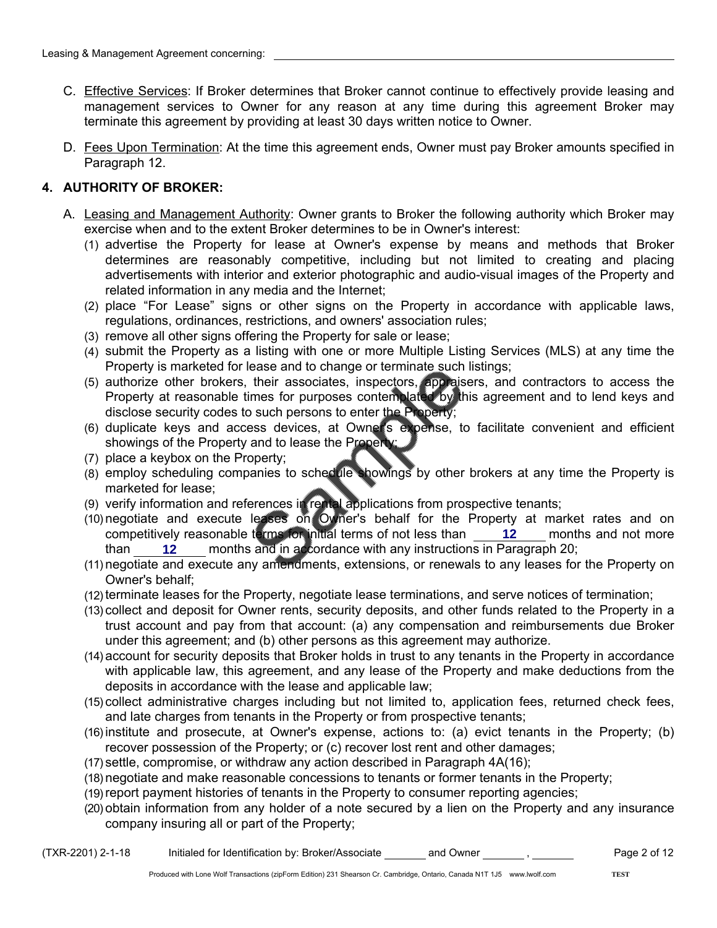- C. Effective Services: If Broker determines that Broker cannot continue to effectively provide leasing and management services to Owner for any reason at any time during this agreement Broker may terminate this agreement by providing at least 30 days written notice to Owner.
- D. Fees Upon Termination: At the time this agreement ends, Owner must pay Broker amounts specified in Paragraph 12.

#### 4. AUTHORITY OF BROKER:

- A. Leasing and Management Authority: Owner grants to Broker the following authority which Broker may exercise when and to the extent Broker determines to be in Owner's interest:
	- (1) advertise the Property for lease at Owner's expense by means and methods that Broker determines are reasonably competitive, including but not limited to creating and placing advertisements with interior and exterior photographic and audio-visual images of the Property and related information in any media and the Internet;
	- (2) place "For Lease" signs or other signs on the Property in accordance with applicable laws, regulations, ordinances, restrictions, and owners' association rules;
	- (3) remove all other signs offering the Property for sale or lease;
	- (4) submit the Property as a listing with one or more Multiple Listing Services (MLS) at any time the Property is marketed for lease and to change or terminate such listings;
	- (5) authorize other brokers, their associates, inspectors, appraisers, and contractors to access the Property at reasonable times for purposes contemplated by this agreement and to lend keys and disclose security codes to such persons to enter the Property;
	- (6) duplicate keys and access devices, at Owner's expense, to facilitate convenient and efficient showings of the Property and to lease the Property;
	- (7) place a keybox on the Property;
	- (8) employ scheduling companies to schedule showings by other brokers at any time the Property is marketed for lease;
	- (9) verify information and references in rental applications from prospective tenants;
	- (10) negotiate and execute leases on Owner's behalf for the Property at market rates and on competitively reasonable terms for initial terms of not less than **12** months and not more than **12** months and in accordance with any instructions in Paragraph 20; **12**
	- (11) negotiate and execute any amendments, extensions, or renewals to any leases for the Property on Owner's behalf;
	- (12) terminate leases for the Property, negotiate lease terminations, and serve notices of termination;
	- (13) collect and deposit for Owner rents, security deposits, and other funds related to the Property in a trust account and pay from that account: (a) any compensation and reimbursements due Broker under this agreement; and (b) other persons as this agreement may authorize.
	- (14) account for security deposits that Broker holds in trust to any tenants in the Property in accordance with applicable law, this agreement, and any lease of the Property and make deductions from the deposits in accordance with the lease and applicable law;
	- (15) collect administrative charges including but not limited to, application fees, returned check fees, and late charges from tenants in the Property or from prospective tenants;
	- (16) institute and prosecute, at Owner's expense, actions to: (a) evict tenants in the Property; (b) recover possession of the Property; or (c) recover lost rent and other damages;
	- (17) settle, compromise, or withdraw any action described in Paragraph 4A(16);
	- (18) negotiate and make reasonable concessions to tenants or former tenants in the Property;
	- (19) report payment histories of tenants in the Property to consumer reporting agencies;
	- (20) obtain information from any holder of a note secured by a lien on the Property and any insurance company insuring all or part of the Property;
- (TXR-2201) 2-1-18 Initialed for Identification by: Broker/Associate and Owner , Page 2 of 12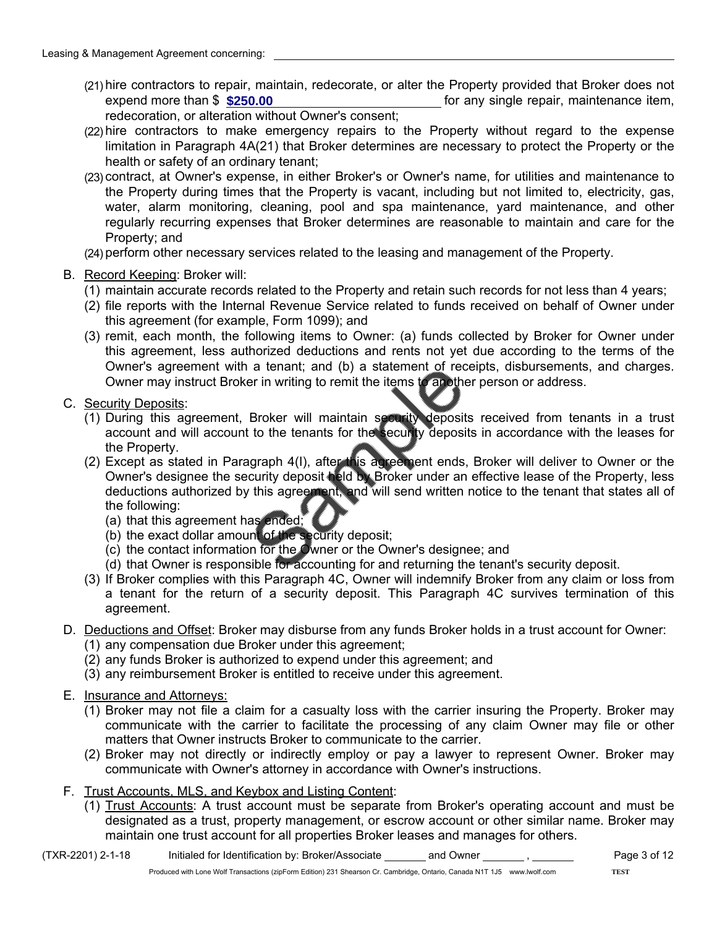- (21) hire contractors to repair, maintain, redecorate, or alter the Property provided that Broker does not for any single repair, maintenance item, redecoration, or alteration without Owner's consent; expend more than  $$$   $$250.00$
- (22) hire contractors to make emergency repairs to the Property without regard to the expense limitation in Paragraph 4A(21) that Broker determines are necessary to protect the Property or the health or safety of an ordinary tenant;
- (23) contract, at Owner's expense, in either Broker's or Owner's name, for utilities and maintenance to the Property during times that the Property is vacant, including but not limited to, electricity, gas, water, alarm monitoring, cleaning, pool and spa maintenance, yard maintenance, and other regularly recurring expenses that Broker determines are reasonable to maintain and care for the Property; and
- (24) perform other necessary services related to the leasing and management of the Property.
- B. Record Keeping: Broker will:
	- (1) maintain accurate records related to the Property and retain such records for not less than 4 years;
	- (2) file reports with the Internal Revenue Service related to funds received on behalf of Owner under this agreement (for example, Form 1099); and
	- (3) remit, each month, the following items to Owner: (a) funds collected by Broker for Owner under this agreement, less authorized deductions and rents not yet due according to the terms of the Owner's agreement with a tenant; and (b) a statement of receipts, disbursements, and charges. Owner may instruct Broker in writing to remit the items to another person or address.
- C. Security Deposits:
	- (1) During this agreement, Broker will maintain security deposits received from tenants in a trust account and will account to the tenants for the security deposits in accordance with the leases for the Property.
	- (2) Except as stated in Paragraph 4(I), after this agreement ends, Broker will deliver to Owner or the Owner's designee the security deposit held by Broker under an effective lease of the Property, less deductions authorized by this agreement, and will send written notice to the tenant that states all of the following:
		- (a) that this agreement has ended;
		- (b) the exact dollar amount of the security deposit;
		- (c) the contact information for the Owner or the Owner's designee; and
		- (d) that Owner is responsible for accounting for and returning the tenant's security deposit.
	- (3) If Broker complies with this Paragraph 4C, Owner will indemnify Broker from any claim or loss from a tenant for the return of a security deposit. This Paragraph 4C survives termination of this agreement.
- D. Deductions and Offset: Broker may disburse from any funds Broker holds in a trust account for Owner:
	- (1) any compensation due Broker under this agreement;
	- (2) any funds Broker is authorized to expend under this agreement; and
	- (3) any reimbursement Broker is entitled to receive under this agreement.
- E. Insurance and Attorneys:
	- (1) Broker may not file a claim for a casualty loss with the carrier insuring the Property. Broker may communicate with the carrier to facilitate the processing of any claim Owner may file or other matters that Owner instructs Broker to communicate to the carrier.
	- (2) Broker may not directly or indirectly employ or pay a lawyer to represent Owner. Broker may communicate with Owner's attorney in accordance with Owner's instructions.
- F. Trust Accounts, MLS, and Keybox and Listing Content:
	- (1) Trust Accounts: A trust account must be separate from Broker's operating account and must be designated as a trust, property management, or escrow account or other similar name. Broker may maintain one trust account for all properties Broker leases and manages for others.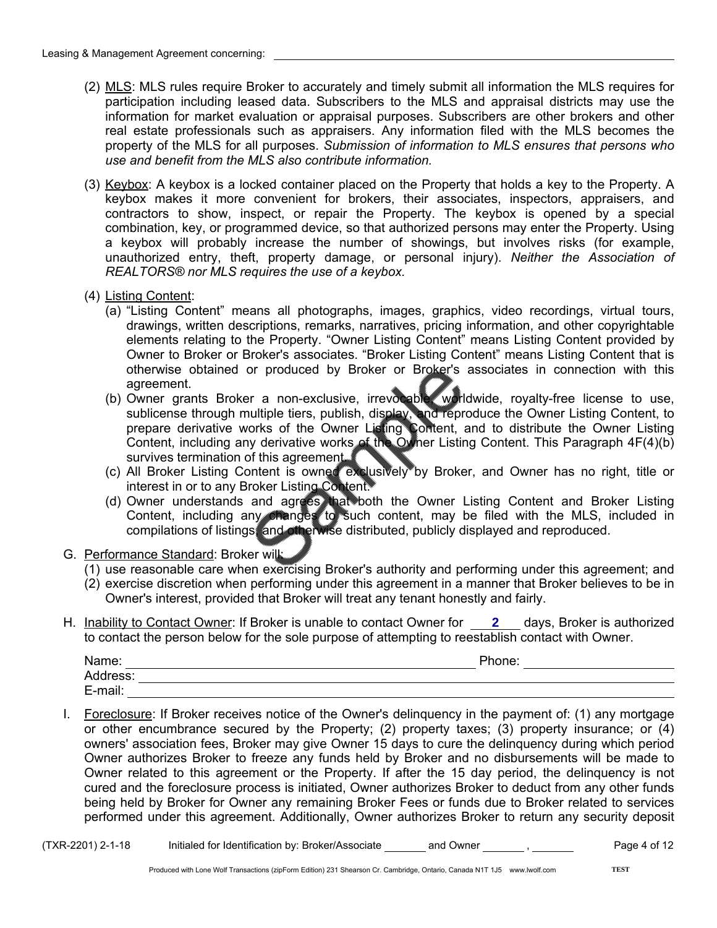- (2) MLS: MLS rules require Broker to accurately and timely submit all information the MLS requires for participation including leased data. Subscribers to the MLS and appraisal districts may use the information for market evaluation or appraisal purposes. Subscribers are other brokers and other real estate professionals such as appraisers. Any information filed with the MLS becomes the property of the MLS for all purposes. *Submission of information to MLS ensures that persons who use and benefit from the MLS also contribute information.*
- (3) Keybox: A keybox is a locked container placed on the Property that holds a key to the Property. A keybox makes it more convenient for brokers, their associates, inspectors, appraisers, and contractors to show, inspect, or repair the Property. The keybox is opened by a special combination, key, or programmed device, so that authorized persons may enter the Property. Using a keybox will probably increase the number of showings, but involves risks (for example, unauthorized entry, theft, property damage, or personal injury). *Neither the Association of REALTORS® nor MLS requires the use of a keybox.*
- (4) Listing Content:
	- (a) "Listing Content" means all photographs, images, graphics, video recordings, virtual tours, drawings, written descriptions, remarks, narratives, pricing information, and other copyrightable elements relating to the Property. "Owner Listing Content" means Listing Content provided by Owner to Broker or Broker's associates. "Broker Listing Content" means Listing Content that is otherwise obtained or produced by Broker or Broker's associates in connection with this agreement.
	- (b) Owner grants Broker a non-exclusive, irrevocable, worldwide, royalty-free license to use, sublicense through multiple tiers, publish, display, and reproduce the Owner Listing Content, to prepare derivative works of the Owner Listing Content, and to distribute the Owner Listing Content, including any derivative works of the Owner Listing Content. This Paragraph 4F(4)(b) survives termination of this agreement.
	- (c) All Broker Listing Content is owned exclusively by Broker, and Owner has no right, title or interest in or to any Broker Listing Content.
	- (d) Owner understands and agrees that both the Owner Listing Content and Broker Listing Content, including any changes to such content, may be filed with the MLS, included in compilations of listings, and otherwise distributed, publicly displayed and reproduced.
- G. Performance Standard: Broker will:
	- (1) use reasonable care when exercising Broker's authority and performing under this agreement; and
	- (2) exercise discretion when performing under this agreement in a manner that Broker believes to be in Owner's interest, provided that Broker will treat any tenant honestly and fairly.
- H. Inability to Contact Owner: If Broker is unable to contact Owner for **2** days, Broker is authorized to contact the person below for the sole purpose of attempting to reestablish contact with Owner.

| Name:    | Phone: |
|----------|--------|
| Address: |        |
| E-mail:  |        |

I. Foreclosure: If Broker receives notice of the Owner's delinquency in the payment of: (1) any mortgage or other encumbrance secured by the Property; (2) property taxes; (3) property insurance; or (4) owners' association fees, Broker may give Owner 15 days to cure the delinquency during which period Owner authorizes Broker to freeze any funds held by Broker and no disbursements will be made to Owner related to this agreement or the Property. If after the 15 day period, the delinquency is not cured and the foreclosure process is initiated, Owner authorizes Broker to deduct from any other funds being held by Broker for Owner any remaining Broker Fees or funds due to Broker related to services performed under this agreement. Additionally, Owner authorizes Broker to return any security deposit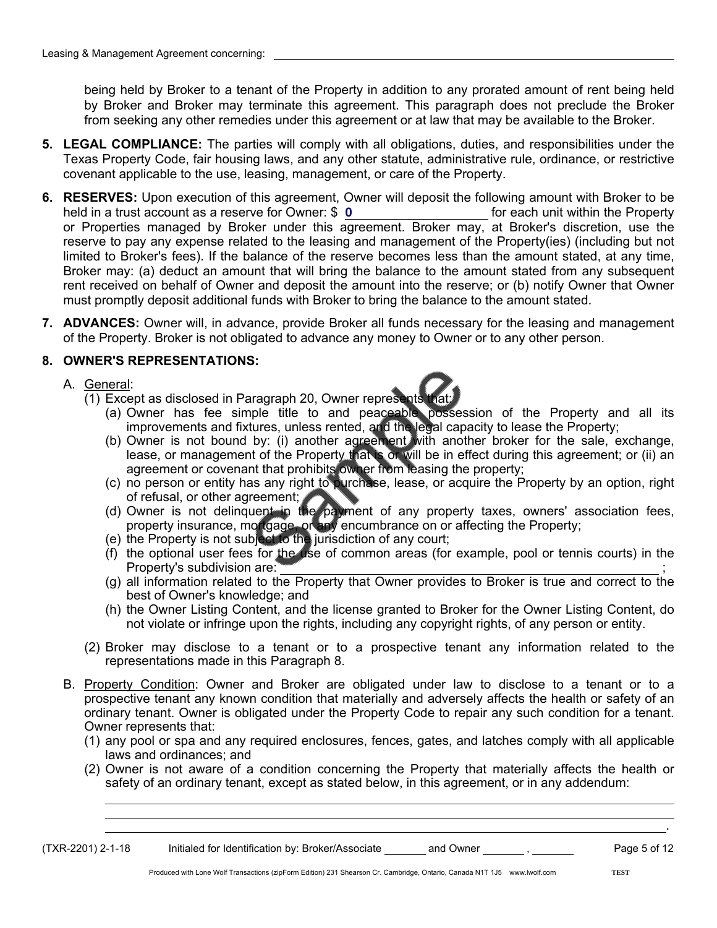being held by Broker to a tenant of the Property in addition to any prorated amount of rent being held by Broker and Broker may terminate this agreement. This paragraph does not preclude the Broker from seeking any other remedies under this agreement or at law that may be available to the Broker.

- 5. LEGAL COMPLIANCE: The parties will comply with all obligations, duties, and responsibilities under the Texas Property Code, fair housing laws, and any other statute, administrative rule, ordinance, or restrictive covenant applicable to the use, leasing, management, or care of the Property.
- 6. RESERVES: Upon execution of this agreement, Owner will deposit the following amount with Broker to be held in a trust account as a reserve for Owner: \$ **0** *notal property* for each unit within the Property or Properties managed by Broker under this agreement. Broker may, at Broker's discretion, use the reserve to pay any expense related to the leasing and management of the Property(ies) (including but not limited to Broker's fees). If the balance of the reserve becomes less than the amount stated, at any time, Broker may: (a) deduct an amount that will bring the balance to the amount stated from any subsequent rent received on behalf of Owner and deposit the amount into the reserve; or (b) notify Owner that Owner must promptly deposit additional funds with Broker to bring the balance to the amount stated.
- 7. ADVANCES: Owner will, in advance, provide Broker all funds necessary for the leasing and management of the Property. Broker is not obligated to advance any money to Owner or to any other person.

#### 8. OWNER'S REPRESENTATIONS:

- A. General:
	- (1) Except as disclosed in Paragraph 20, Owner represents that:
		- (a) Owner has fee simple title to and peaceable possession of the Property and all its improvements and fixtures, unless rented, and the legal capacity to lease the Property;
		- (b) Owner is not bound by: (i) another agreement with another broker for the sale, exchange, lease, or management of the Property that is or will be in effect during this agreement; or (ii) an agreement or covenant that prohibits owner from leasing the property;
		- (c) no person or entity has any right to purchase, lease, or acquire the Property by an option, right of refusal, or other agreement;
		- (d) Owner is not delinquent in the payment of any property taxes, owners' association fees, property insurance, mortgage, or any encumbrance on or affecting the Property;
		- (e) the Property is not subject to the jurisdiction of any court;
		- (f) the optional user fees for the use of common areas (for example, pool or tennis courts) in the Property's subdivision are:
		- (g) all information related to the Property that Owner provides to Broker is true and correct to the best of Owner's knowledge; and
		- (h) the Owner Listing Content, and the license granted to Broker for the Owner Listing Content, do not violate or infringe upon the rights, including any copyright rights, of any person or entity.
	- (2) Broker may disclose to a tenant or to a prospective tenant any information related to the representations made in this Paragraph 8.
- B. Property Condition: Owner and Broker are obligated under law to disclose to a tenant or to a prospective tenant any known condition that materially and adversely affects the health or safety of an ordinary tenant. Owner is obligated under the Property Code to repair any such condition for a tenant. Owner represents that:
	- (1) any pool or spa and any required enclosures, fences, gates, and latches comply with all applicable laws and ordinances; and
	- (2) Owner is not aware of a condition concerning the Property that materially affects the health or safety of an ordinary tenant, except as stated below, in this agreement, or in any addendum:

(TXR-2201) 2-1-18 Initialed for Identification by: Broker/Associate and Owner , Page 5 of 12

.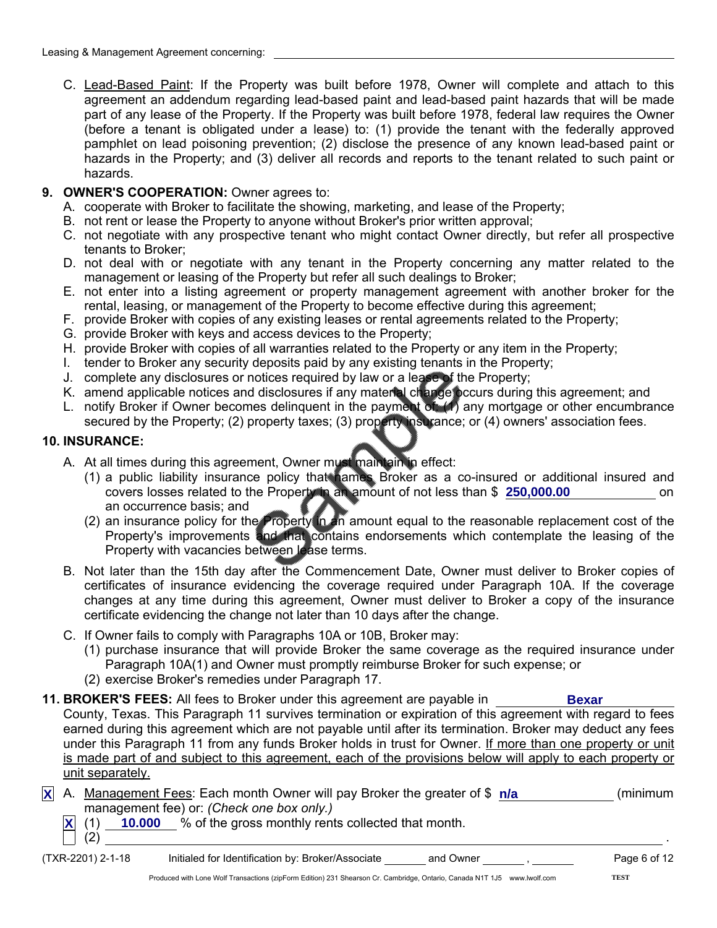C. Lead-Based Paint: If the Property was built before 1978, Owner will complete and attach to this agreement an addendum regarding lead-based paint and lead-based paint hazards that will be made part of any lease of the Property. If the Property was built before 1978, federal law requires the Owner (before a tenant is obligated under a lease) to: (1) provide the tenant with the federally approved pamphlet on lead poisoning prevention; (2) disclose the presence of any known lead-based paint or hazards in the Property; and (3) deliver all records and reports to the tenant related to such paint or hazards.

#### 9. OWNER'S COOPERATION: Owner agrees to:

- A. cooperate with Broker to facilitate the showing, marketing, and lease of the Property;
- B. not rent or lease the Property to anyone without Broker's prior written approval;
- C. not negotiate with any prospective tenant who might contact Owner directly, but refer all prospective tenants to Broker;
- D. not deal with or negotiate with any tenant in the Property concerning any matter related to the management or leasing of the Property but refer all such dealings to Broker;
- E. not enter into a listing agreement or property management agreement with another broker for the rental, leasing, or management of the Property to become effective during this agreement;
- F. provide Broker with copies of any existing leases or rental agreements related to the Property;
- G. provide Broker with keys and access devices to the Property;
- H. provide Broker with copies of all warranties related to the Property or any item in the Property;
- I. tender to Broker any security deposits paid by any existing tenants in the Property;
- J. complete any disclosures or notices required by law or a lease of the Property;
- K. amend applicable notices and disclosures if any material change occurs during this agreement; and
- L. notify Broker if Owner becomes delinquent in the payment of: (1) any mortgage or other encumbrance secured by the Property; (2) property taxes; (3) property insurance; or (4) owners' association fees.

#### 10. INSURANCE:

- A. At all times during this agreement, Owner must maintain in effect:
	- (1) a public liability insurance policy that names Broker as a co-insured or additional insured and covers losses related to the Property in an amount of not less than \$ 250,000.00 **comedy** on an occurrence basis; and
	- (2) an insurance policy for the Property in an amount equal to the reasonable replacement cost of the Property's improvements and that contains endorsements which contemplate the leasing of the Property with vacancies between lease terms.
- B. Not later than the 15th day after the Commencement Date, Owner must deliver to Broker copies of certificates of insurance evidencing the coverage required under Paragraph 10A. If the coverage changes at any time during this agreement, Owner must deliver to Broker a copy of the insurance certificate evidencing the change not later than 10 days after the change.
- C. If Owner fails to comply with Paragraphs 10A or 10B, Broker may:
	- (1) purchase insurance that will provide Broker the same coverage as the required insurance under Paragraph 10A(1) and Owner must promptly reimburse Broker for such expense; or
	- (2) exercise Broker's remedies under Paragraph 17.
- **11. BROKER'S FEES:** All fees to Broker under this agreement are payable in County, Texas. This Paragraph 11 survives termination or expiration of this agreement with regard to fees earned during this agreement which are not payable until after its termination. Broker may deduct any fees under this Paragraph 11 from any funds Broker holds in trust for Owner. If more than one property or unit is made part of and subject to this agreement, each of the provisions below will apply to each property or unit separately. **Bexar**

|                                           | $ X $ A. Management Fees: Each month Owner will pay Broker the greater of \$ $n/a$<br>(minimum |  |
|-------------------------------------------|------------------------------------------------------------------------------------------------|--|
| management fee) or: (Check one box only.) |                                                                                                |  |
|                                           | % of the gross monthly rents collected that month.<br>10.000                                   |  |
|                                           | (2)                                                                                            |  |

(TXR-2201) 2-1-18 Initialed for Identification by: Broker/Associate \_\_\_\_\_\_\_ and Owner \_\_\_\_\_\_\_, \_\_\_\_\_\_ Page 6 of 12

**TEST**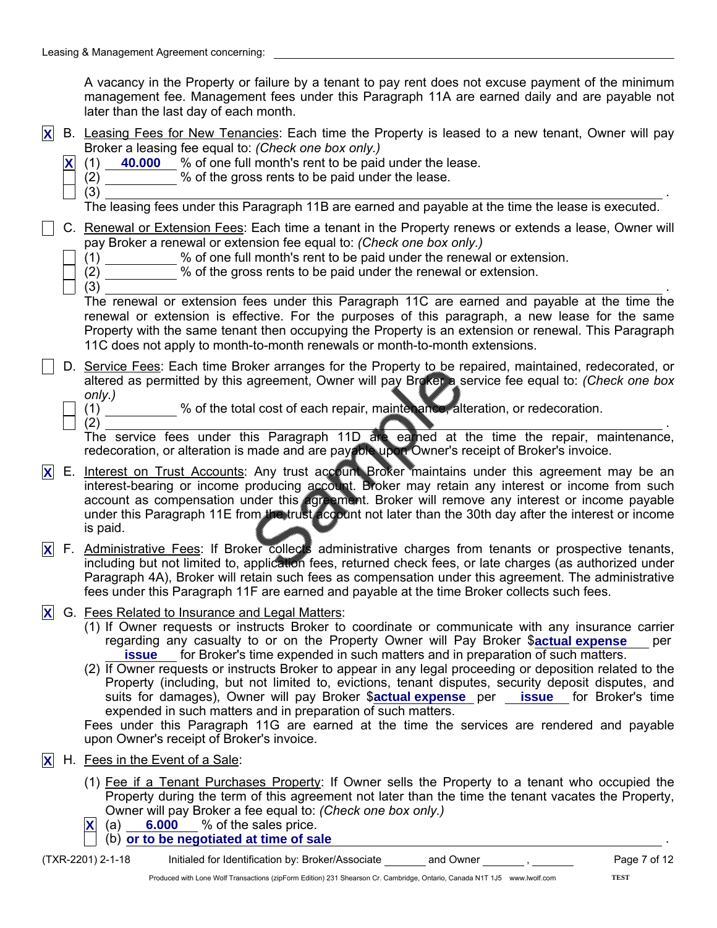A vacancy in the Property or failure by a tenant to pay rent does not excuse payment of the minimum management fee. Management fees under this Paragraph 11A are earned daily and are payable not later than the last day of each month.

- B. Leasing Fees for New Tenancies: Each time the Property is leased to a new tenant, Owner will pay **X** Broker a leasing fee equal to: *(Check one box only.)*
	- $\underline{\mathsf{X}}$  (1)  $\underline{\phantom{X}}$  40.000  $\underline{\phantom{X}}$  % of one full month's rent to be paid under the lease.
		- $(2)$   $\overline{\hspace{1cm}}$  % of the gross rents to be paid under the lease.

 $(3)$ The leasing fees under this Paragraph 11B are earned and payable at the time the lease is executed.

- C. Renewal or Extension Fees: Each time a tenant in the Property renews or extends a lease, Owner will pay Broker a renewal or extension fee equal to: *(Check one box only.)*
	- (1) \_\_\_\_\_\_\_\_\_\_\_ % of one full month's rent to be paid under the renewal or extension.
	- $(2)$   $\overline{\hspace{1cm}}$  % of the gross rents to be paid under the renewal or extension.

 $(3)$ The renewal or extension fees under this Paragraph 11C are earned and payable at the time the renewal or extension is effective. For the purposes of this paragraph, a new lease for the same Property with the same tenant then occupying the Property is an extension or renewal. This Paragraph 11C does not apply to month-to-month renewals or month-to-month extensions.

- D. Service Fees: Each time Broker arranges for the Property to be repaired, maintained, redecorated, or altered as permitted by this agreement, Owner will pay Broker a service fee equal to: *(Check one box only.)*
	-

(1) % of the total cost of each repair, maintenance, alteration, or redecoration.

 $(2)$  $(2)$   $\overline{\phantom{a}}$ <br>The service fees under this Paragraph 11D are earned at the time the repair, maintenance, redecoration, or alteration is made and are payable upon Owner's receipt of Broker's invoice.

- E. Interest on Trust Accounts: Any trust account Broker maintains under this agreement may be an **X** interest-bearing or income producing account. Broker may retain any interest or income from such account as compensation under this agreement. Broker will remove any interest or income payable under this Paragraph 11E from the trust account not later than the 30th day after the interest or income is paid.
- F. Administrative Fees: If Broker collects administrative charges from tenants or prospective tenants, **X** including but not limited to, application fees, returned check fees, or late charges (as authorized under Paragraph 4A), Broker will retain such fees as compensation under this agreement. The administrative fees under this Paragraph 11F are earned and payable at the time Broker collects such fees.
- G. Fees Related to Insurance and Legal Matters: **X**
	- (1) If Owner requests or instructs Broker to coordinate or communicate with any insurance carrier regarding any casualty to or on the Property Owner will Pay Broker \$actual expense \_\_ per **issue** for Broker's time expended in such matters and in preparation of such matters.
	- (2) If Owner requests or instructs Broker to appear in any legal proceeding or deposition related to the Property (including, but not limited to, evictions, tenant disputes, security deposit disputes, and suits for damages), Owner will pay Broker \$actual expense\_per \_\_issue\_\_for Broker's time expended in such matters and in preparation of such matters.

Fees under this Paragraph 11G are earned at the time the services are rendered and payable upon Owner's receipt of Broker's invoice.

- H. Fees in the Event of a Sale: **X**
	- (1) Fee if a Tenant Purchases Property: If Owner sells the Property to a tenant who occupied the Property during the term of this agreement not later than the time the tenant vacates the Property, Owner will pay Broker a fee equal to: *(Check one box only.)*
	- **<u>X</u>** (a) 6.000 % of the sales price.
	- (b) . **or to be negotiated at time of sale**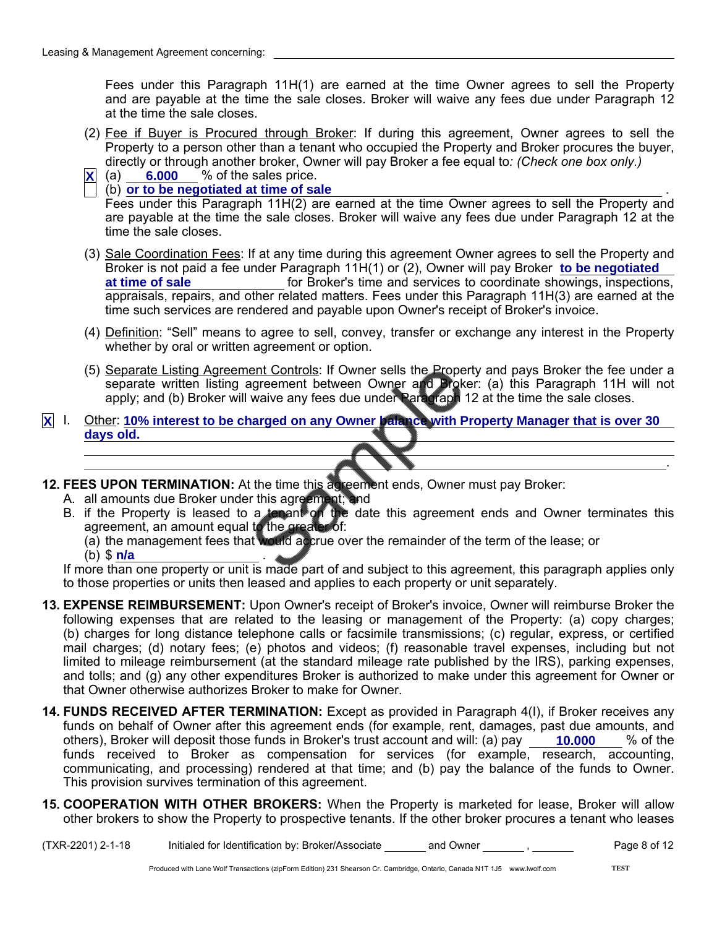Fees under this Paragraph 11H(1) are earned at the time Owner agrees to sell the Property and are payable at the time the sale closes. Broker will waive any fees due under Paragraph 12 at the time the sale closes.

- (2) Fee if Buyer is Procured through Broker: If during this agreement, Owner agrees to sell the Property to a person other than a tenant who occupied the Property and Broker procures the buyer, directly or through another broker, Owner will pay Broker a fee equal to*: (Check one box only.)*
- $6.000$  % of the sales price. (b) . **or to be negotiated at time of sale** Fees under this Paragraph 11H(2) are earned at the time Owner agrees to sell the Property and are payable at the time the sale closes. Broker will waive any fees due under Paragraph 12 at the time the sale closes. **X 6.000**
- (3) Sale Coordination Fees: If at any time during this agreement Owner agrees to sell the Property and Broker is not paid a fee under Paragraph 11H(1) or (2), Owner will pay Broker **to be negotiated at time of sale** *at time of sale at time and services to coordinate showings, inspections,* appraisals, repairs, and other related matters. Fees under this Paragraph 11H(3) are earned at the time such services are rendered and payable upon Owner's receipt of Broker's invoice.
- (4) Definition: "Sell" means to agree to sell, convey, transfer or exchange any interest in the Property whether by oral or written agreement or option.
- (5) Separate Listing Agreement Controls: If Owner sells the Property and pays Broker the fee under a separate written listing agreement between Owner and Broker: (a) this Paragraph 11H will not apply; and (b) Broker will waive any fees due under Paragraph 12 at the time the sale closes.
- I. Other: **X 10% interest to be charged on any Owner balance with Property Manager that is over 30 days old.**
- 12. FEES UPON TERMINATION: At the time this agreement ends, Owner must pay Broker:
	- A. all amounts due Broker under this agreement; and
	- B. if the Property is leased to a tenant on the date this agreement ends and Owner terminates this agreement, an amount equal to the greater of:
		- (a) the management fees that would accrue over the remainder of the term of the lease; or
			- (b) \$ . **n/a**

If more than one property or unit is made part of and subject to this agreement, this paragraph applies only to those properties or units then leased and applies to each property or unit separately.

- 13. EXPENSE REIMBURSEMENT: Upon Owner's receipt of Broker's invoice, Owner will reimburse Broker the following expenses that are related to the leasing or management of the Property: (a) copy charges; (b) charges for long distance telephone calls or facsimile transmissions; (c) regular, express, or certified mail charges; (d) notary fees; (e) photos and videos; (f) reasonable travel expenses, including but not limited to mileage reimbursement (at the standard mileage rate published by the IRS), parking expenses, and tolls; and (g) any other expenditures Broker is authorized to make under this agreement for Owner or that Owner otherwise authorizes Broker to make for Owner.
- 14. FUNDS RECEIVED AFTER TERMINATION: Except as provided in Paragraph 4(I), if Broker receives any funds on behalf of Owner after this agreement ends (for example, rent, damages, past due amounts, and others), Broker will deposit those funds in Broker's trust account and will: (a) pay \_\_\_\_ 10.000 \_\_\_ % of the funds received to Broker as compensation for services (for example, research, accounting, communicating, and processing) rendered at that time; and (b) pay the balance of the funds to Owner. This provision survives termination of this agreement.
- 15. COOPERATION WITH OTHER BROKERS: When the Property is marketed for lease, Broker will allow other brokers to show the Property to prospective tenants. If the other broker procures a tenant who leases

.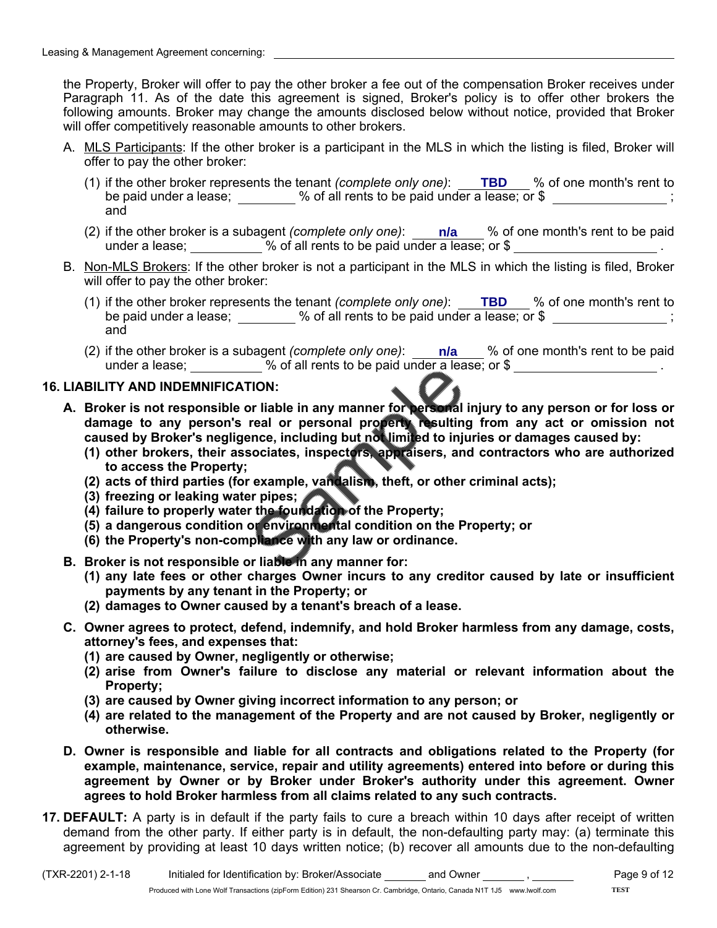the Property, Broker will offer to pay the other broker a fee out of the compensation Broker receives under Paragraph 11. As of the date this agreement is signed, Broker's policy is to offer other brokers the following amounts. Broker may change the amounts disclosed below without notice, provided that Broker will offer competitively reasonable amounts to other brokers.

- A. MLS Participants: If the other broker is a participant in the MLS in which the listing is filed, Broker will offer to pay the other broker:
	- (1) if the other broker represents the tenant *(complete only one)*: TBD % of one month's rent to be paid under a lease;  $\frac{1}{2}$  % of all rents to be paid under a lease; or \$ ; and
	- (2) if the other broker is a subagent *(complete only one)*: **n/a** % of one month's rent to be paid under a lease;  $\frac{1}{2}$  of all rents to be paid under a lease; or \$
- B. Non-MLS Brokers: If the other broker is not a participant in the MLS in which the listing is filed, Broker will offer to pay the other broker:
	- (1) if the other broker represents the tenant *(complete only one)*: % of one month's rent to be paid under a lease;  $\frac{1}{2}$  % of all rents to be paid under a lease; or \$ ; ; ; ; and **TBD**
	- (2) if the other broker is a subagent *(complete only one)*: **n/a** % of one month's rent to be paid under a lease;  $\frac{1}{2}$  % of all rents to be paid under a lease; or \$

### 16. LIABILITY AND INDEMNIFICATION:

- A. Broker is not responsible or liable in any manner for personal injury to any person or for loss or damage to any person's real or personal property resulting from any act or omission not caused by Broker's negligence, including but not limited to injuries or damages caused by:
	- (1) other brokers, their associates, inspectors, appraisers, and contractors who are authorized to access the Property;
	- (2) acts of third parties (for example, vandalism, theft, or other criminal acts);
	- (3) freezing or leaking water pipes;
	- (4) failure to properly water the foundation of the Property;
	- (5) a dangerous condition or environmental condition on the Property; or
	- (6) the Property's non-compliance with any law or ordinance.
- B. Broker is not responsible or liable in any manner for:
	- (1) any late fees or other charges Owner incurs to any creditor caused by late or insufficient payments by any tenant in the Property; or
	- (2) damages to Owner caused by a tenant's breach of a lease.
- C. Owner agrees to protect, defend, indemnify, and hold Broker harmless from any damage, costs, attorney's fees, and expenses that:
	- (1) are caused by Owner, negligently or otherwise;
	- (2) arise from Owner's failure to disclose any material or relevant information about the Property;
	- (3) are caused by Owner giving incorrect information to any person; or
	- (4) are related to the management of the Property and are not caused by Broker, negligently or otherwise.
- D. Owner is responsible and liable for all contracts and obligations related to the Property (for example, maintenance, service, repair and utility agreements) entered into before or during this agreement by Owner or by Broker under Broker's authority under this agreement. Owner agrees to hold Broker harmless from all claims related to any such contracts.
- **17. DEFAULT:** A party is in default if the party fails to cure a breach within 10 days after receipt of written demand from the other party. If either party is in default, the non-defaulting party may: (a) terminate this agreement by providing at least 10 days written notice; (b) recover all amounts due to the non-defaulting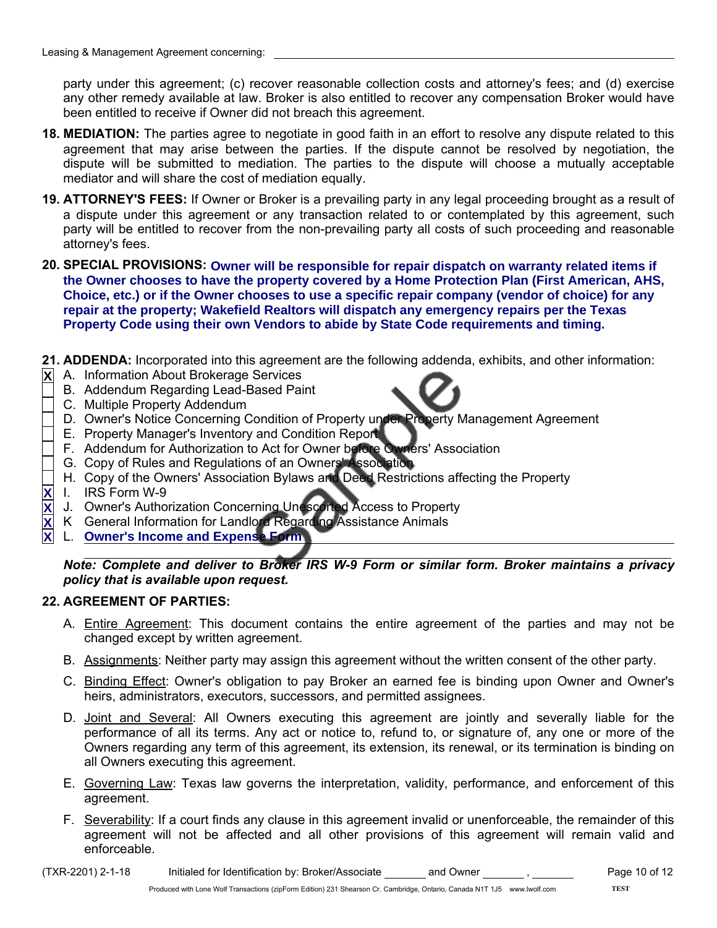party under this agreement; (c) recover reasonable collection costs and attorney's fees; and (d) exercise any other remedy available at law. Broker is also entitled to recover any compensation Broker would have been entitled to receive if Owner did not breach this agreement.

- 18. MEDIATION: The parties agree to negotiate in good faith in an effort to resolve any dispute related to this agreement that may arise between the parties. If the dispute cannot be resolved by negotiation, the dispute will be submitted to mediation. The parties to the dispute will choose a mutually acceptable mediator and will share the cost of mediation equally.
- 19. ATTORNEY'S FEES: If Owner or Broker is a prevailing party in any legal proceeding brought as a result of a dispute under this agreement or any transaction related to or contemplated by this agreement, such party will be entitled to recover from the non-prevailing party all costs of such proceeding and reasonable attorney's fees.
- 20. SPECIAL PROVISIONS: **Owner will be responsible for repair dispatch on warranty related items if the Owner chooses to have the property covered by a Home Protection Plan (First American, AHS, Choice, etc.) or if the Owner chooses to use a specific repair company (vendor of choice) for any repair at the property; Wakefield Realtors will dispatch any emergency repairs per the Texas Property Code using their own Vendors to abide by State Code requirements and timing.**
- 21. ADDENDA: Incorporated into this agreement are the following addenda, exhibits, and other information:
- A. Information About Brokerage Services **X**
- B. Addendum Regarding Lead-Based Paint
- C. Multiple Property Addendum
	- D. Owner's Notice Concerning Condition of Property under Property Management Agreement
- E. Property Manager's Inventory and Condition Report
- F. Addendum for Authorization to Act for Owner before Owners' Association
- G. Copy of Rules and Regulations of an Owners' Association
- H. Copy of the Owners' Association Bylaws and Deed Restrictions affecting the Property
- I. IRS Form W-9 **X**
- J. Owner's Authorization Concerning Unescorted Access to Property **X**
- K General Information for Landlord Regarding Assistance Animals **X**
- L. **X Owner's Income and Expense Form**

*Note: Complete and deliver to Broker IRS W-9 Form or similar form. Broker maintains a privacy policy that is available upon request.*

#### 22. AGREEMENT OF PARTIES:

- A. **Entire Agreement**: This document contains the entire agreement of the parties and may not be changed except by written agreement.
- B. Assignments: Neither party may assign this agreement without the written consent of the other party.
- C. Binding Effect: Owner's obligation to pay Broker an earned fee is binding upon Owner and Owner's heirs, administrators, executors, successors, and permitted assignees.
- D. Joint and Several: All Owners executing this agreement are jointly and severally liable for the performance of all its terms. Any act or notice to, refund to, or signature of, any one or more of the Owners regarding any term of this agreement, its extension, its renewal, or its termination is binding on all Owners executing this agreement.
- E. Governing Law: Texas law governs the interpretation, validity, performance, and enforcement of this agreement.
- F. Severability: If a court finds any clause in this agreement invalid or unenforceable, the remainder of this agreement will not be affected and all other provisions of this agreement will remain valid and enforceable.

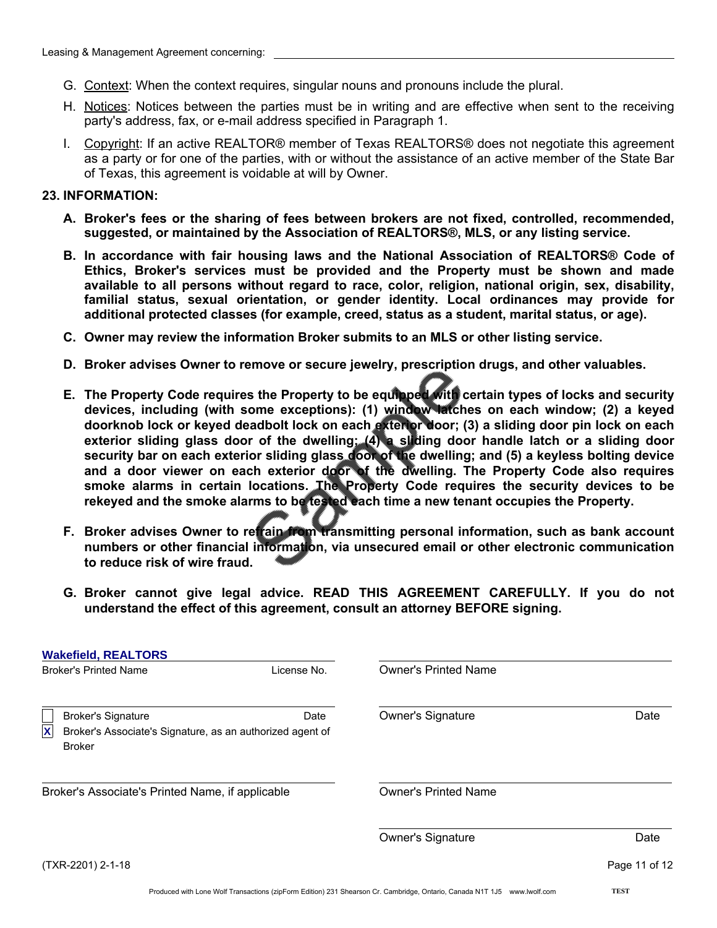- G. Context: When the context requires, singular nouns and pronouns include the plural.
- H. Notices: Notices between the parties must be in writing and are effective when sent to the receiving party's address, fax, or e-mail address specified in Paragraph 1.
- I. Copyright: If an active REALTOR® member of Texas REALTORS® does not negotiate this agreement as a party or for one of the parties, with or without the assistance of an active member of the State Bar of Texas, this agreement is voidable at will by Owner.

#### 23. INFORMATION:

- A. Broker's fees or the sharing of fees between brokers are not fixed, controlled, recommended, suggested, or maintained by the Association of REALTORS®, MLS, or any listing service.
- B. In accordance with fair housing laws and the National Association of REALTORS® Code of Ethics, Broker's services must be provided and the Property must be shown and made available to all persons without regard to race, color, religion, national origin, sex, disability, familial status, sexual orientation, or gender identity. Local ordinances may provide for additional protected classes (for example, creed, status as a student, marital status, or age).
- C. Owner may review the information Broker submits to an MLS or other listing service.
- D. Broker advises Owner to remove or secure jewelry, prescription drugs, and other valuables.
- E. The Property Code requires the Property to be equipped with certain types of locks and security devices, including (with some exceptions): (1) window latches on each window; (2) a keyed doorknob lock or keyed deadbolt lock on each exterior door; (3) a sliding door pin lock on each exterior sliding glass door of the dwelling; (4) a sliding door handle latch or a sliding door security bar on each exterior sliding glass door of the dwelling; and (5) a keyless bolting device and a door viewer on each exterior door of the dwelling. The Property Code also requires smoke alarms in certain locations. The Property Code requires the security devices to be rekeyed and the smoke alarms to be tested each time a new tenant occupies the Property.
- F. Broker advises Owner to refrain from transmitting personal information, such as bank account numbers or other financial information, via unsecured email or other electronic communication to reduce risk of wire fraud.
- G. Broker cannot give legal advice. READ THIS AGREEMENT CAREFULLY. If you do not understand the effect of this agreement, consult an attorney BEFORE signing.

| <b>Wakefield, REALTORS</b>                                                                                                |             |                             |               |  |
|---------------------------------------------------------------------------------------------------------------------------|-------------|-----------------------------|---------------|--|
| <b>Broker's Printed Name</b>                                                                                              | License No. | <b>Owner's Printed Name</b> |               |  |
| <b>Broker's Signature</b><br>$ \mathsf{x} $<br>Broker's Associate's Signature, as an authorized agent of<br><b>Broker</b> | Date        | <b>Owner's Signature</b>    | Date          |  |
| Broker's Associate's Printed Name, if applicable                                                                          |             | <b>Owner's Printed Name</b> |               |  |
|                                                                                                                           |             | <b>Owner's Signature</b>    | Date          |  |
| (TXR-2201) 2-1-18                                                                                                         |             |                             | Page 11 of 12 |  |